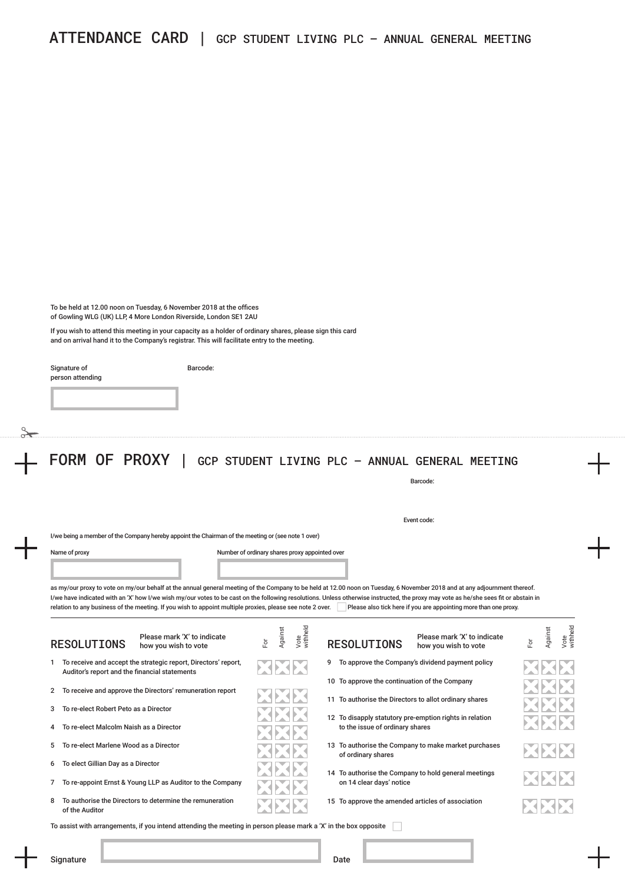To be held at 12.00 noon on Tuesday, 6 November 2018 at the offices of Gowling WLG (UK) LLP, 4 More London Riverside, London SE1 2AU

If you wish to attend this meeting in your capacity as a holder of ordinary shares, please sign this card and on arrival hand it to the Company's registrar. This will facilitate entry to the meeting.

Barcode:

| Signature of     |  |
|------------------|--|
| person attending |  |
|                  |  |

FORM OF PROXY | GCP STUDENT LIVING PLC – ANNUAL GENERAL MEETING

Event code:

I/we being a member of the Company hereby appoint the Chairman of the meeting or (see note 1 over)

Name of proxy extends the Number of ordinary shares proxy appointed over

as my/our proxy to vote on my/our behalf at the annual general meeting of the Company to be held at 12.00 noon on Tuesday, 6 November 2018 and at any adjournment thereof. I/we have indicated with an 'X' how I/we wish my/our votes to be cast on the following resolutions. Unless otherwise instructed, the proxy may vote as he/she sees fit or abstain in relation to any business of the meeting. If you wish to appoint multiple proxies, please see note 2 over. Please also tick here if you are appointing more than one proxy.

|                                                                                                                  | <b>RESOLUTIONS</b>                            | Please mark 'X' to indicate<br>how you wish to vote            | Εŏ     | Against | Vote<br>withhe |  |   | <b>RESOLUTIONS</b>                                | Please mark 'X' to indicate<br>how you wish to vote     | For | Against | Vote<br>withheld |
|------------------------------------------------------------------------------------------------------------------|-----------------------------------------------|----------------------------------------------------------------|--------|---------|----------------|--|---|---------------------------------------------------|---------------------------------------------------------|-----|---------|------------------|
|                                                                                                                  | Auditor's report and the financial statements | To receive and accept the strategic report, Directors' report, | ENENE. |         |                |  | 9 |                                                   | To approve the Company's dividend payment policy        |     |         |                  |
|                                                                                                                  |                                               |                                                                |        |         |                |  |   | 10 To approve the continuation of the Company     |                                                         |     |         |                  |
|                                                                                                                  |                                               | 2 To receive and approve the Directors' remuneration report    |        |         |                |  |   |                                                   | 11 To authorise the Directors to allot ordinary shares  |     |         |                  |
| 3                                                                                                                | To re-elect Robert Peto as a Director         |                                                                |        |         |                |  |   |                                                   | 12 To disapply statutory pre-emption rights in relation |     |         |                  |
| 4                                                                                                                | To re-elect Malcolm Naish as a Director       |                                                                |        |         |                |  |   | to the issue of ordinary shares                   |                                                         |     |         |                  |
| 5.                                                                                                               | To re-elect Marlene Wood as a Director        |                                                                |        |         |                |  |   | of ordinary shares                                | 13 To authorise the Company to make market purchases    |     | XXX     |                  |
| 6                                                                                                                | To elect Gillian Day as a Director            |                                                                |        |         |                |  |   |                                                   | 14 To authorise the Company to hold general meetings    |     |         |                  |
| $7^{\circ}$                                                                                                      |                                               | To re-appoint Ernst & Young LLP as Auditor to the Company      |        |         |                |  |   | on 14 clear days' notice                          |                                                         |     | XXX     |                  |
|                                                                                                                  | of the Auditor                                | To authorise the Directors to determine the remuneration       |        |         |                |  |   | 15 To approve the amended articles of association |                                                         |     | ESESTES |                  |
| To assist with arrangements, if you intend attending the meeting in person please mark a 'X' in the box opposite |                                               |                                                                |        |         |                |  |   |                                                   |                                                         |     |         |                  |